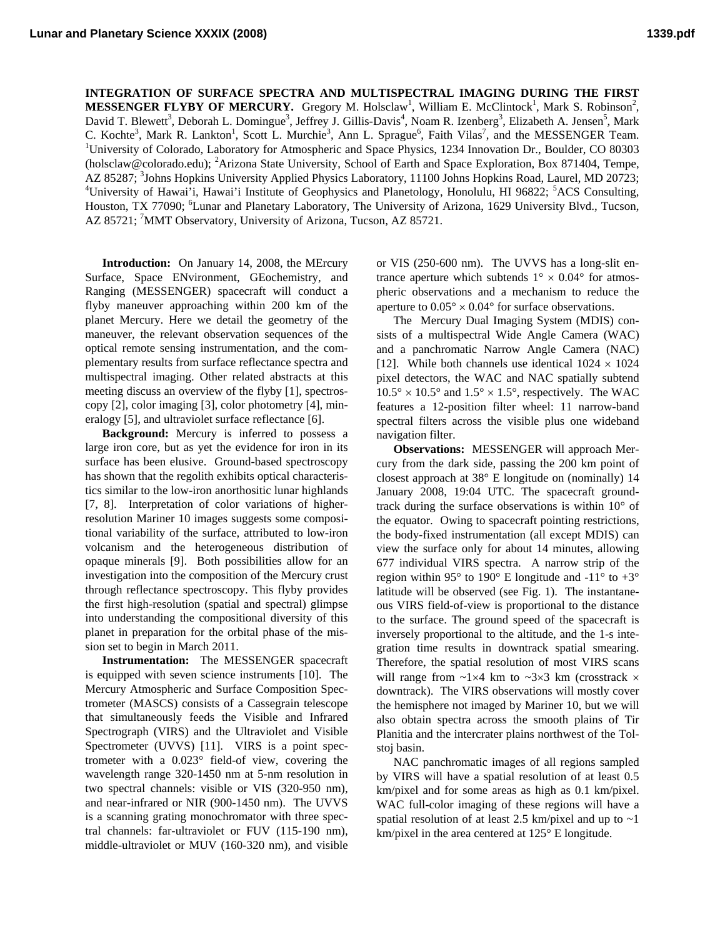**INTEGRATION OF SURFACE SPECTRA AND MULTISPECTRAL IMAGING DURING THE FIRST**  MESSENGER FLYBY OF MERCURY. Gregory M. Holsclaw<sup>1</sup>, William E. McClintock<sup>1</sup>, Mark S. Robinson<sup>2</sup>, David T. Blewett<sup>3</sup>, Deborah L. Domingue<sup>3</sup>, Jeffrey J. Gillis-Davis<sup>4</sup>, Noam R. Izenberg<sup>3</sup>, Elizabeth A. Jensen<sup>5</sup>, Mark C. Kochte<sup>3</sup>, Mark R. Lankton<sup>1</sup>, Scott L. Murchie<sup>3</sup>, Ann L. Sprague<sup>6</sup>, Faith Vilas<sup>7</sup>, and the MESSENGER Team.<br><sup>1</sup>University of Colorado Laboratory for Atmospheric and Spage Physics 1234 Innovation Dr. Boulder, CO 80303 <sup>1</sup>University of Colorado, Laboratory for Atmospheric and Space Physics, 1234 Innovation Dr., Boulder, CO 80303 [\(holsclaw@colorado.edu](mailto:holsclaw@colorado.edu)); <sup>2</sup>Arizona State University, School of Earth and Space Exploration, Box 871404, Tempe, AZ 85287; <sup>3</sup>Johns Hopkins University Applied Physics Laboratory, 11100 Johns Hopkins Road, Laurel, MD 20723; 4<br><sup>4</sup>University of House'': House'': Institute of Geophysics and Planateleau, Honelulu, HL06822, <sup>5</sup>ACS Consulti University of Hawai'i, Hawai'i Institute of Geophysics and Planetology, Honolulu, HI 96822; <sup>5</sup>ACS Consulting, Houston, TX 77090; <sup>6</sup>Lunar and Planetary Laboratory, The University of Arizona, 1629 University Blvd., Tucson, AZ 85721; <sup>7</sup>MMT Observatory, University of Arizona, Tucson, AZ 85721.

**Introduction:** On January 14, 2008, the MErcury Surface, Space ENvironment, GEochemistry, and Ranging (MESSENGER) spacecraft will conduct a flyby maneuver approaching within 200 km of the planet Mercury. Here we detail the geometry of the maneuver, the relevant observation sequences of the optical remote sensing instrumentation, and the complementary results from surface reflectance spectra and multispectral imaging. Other related abstracts at this meeting discuss an overview of the flyby [1], spectroscopy [2], color imaging [3], color photometry [4], mineralogy [5], and ultraviolet surface reflectance [6].

**Background:** Mercury is inferred to possess a large iron core, but as yet the evidence for iron in its surface has been elusive. Ground-based spectroscopy has shown that the regolith exhibits optical characteristics similar to the low-iron anorthositic lunar highlands [7, 8]. Interpretation of color variations of higherresolution Mariner 10 images suggests some compositional variability of the surface, attributed to low-iron volcanism and the heterogeneous distribution of opaque minerals [9]. Both possibilities allow for an investigation into the composition of the Mercury crust through reflectance spectroscopy. This flyby provides the first high-resolution (spatial and spectral) glimpse into understanding the compositional diversity of this planet in preparation for the orbital phase of the mission set to begin in March 2011.

**Instrumentation:** The MESSENGER spacecraft is equipped with seven science instruments [10]. The Mercury Atmospheric and Surface Composition Spectrometer (MASCS) consists of a Cassegrain telescope that simultaneously feeds the Visible and Infrared Spectrograph (VIRS) and the Ultraviolet and Visible Spectrometer (UVVS) [11]. VIRS is a point spectrometer with a 0.023° field-of view, covering the wavelength range 320-1450 nm at 5-nm resolution in two spectral channels: visible or VIS (320-950 nm), and near-infrared or NIR (900-1450 nm). The UVVS is a scanning grating monochromator with three spectral channels: far-ultraviolet or FUV (115-190 nm), middle-ultraviolet or MUV (160-320 nm), and visible or VIS (250-600 nm). The UVVS has a long-slit entrance aperture which subtends  $1^{\circ} \times 0.04^{\circ}$  for atmospheric observations and a mechanism to reduce the aperture to  $0.05^{\circ} \times 0.04^{\circ}$  for surface observations.

The Mercury Dual Imaging System (MDIS) consists of a multispectral Wide Angle Camera (WAC) and a panchromatic Narrow Angle Camera (NAC) [12]. While both channels use identical  $1024 \times 1024$ pixel detectors, the WAC and NAC spatially subtend  $10.5^{\circ} \times 10.5^{\circ}$  and  $1.5^{\circ} \times 1.5^{\circ}$ , respectively. The WAC features a 12-position filter wheel: 11 narrow-band spectral filters across the visible plus one wideband navigation filter.

**Observations:** MESSENGER will approach Mercury from the dark side, passing the 200 km point of closest approach at 38° E longitude on (nominally) 14 January 2008, 19:04 UTC. The spacecraft groundtrack during the surface observations is within 10° of the equator. Owing to spacecraft pointing restrictions, the body-fixed instrumentation (all except MDIS) can view the surface only for about 14 minutes, allowing 677 individual VIRS spectra. A narrow strip of the region within 95 $^{\circ}$  to 190 $^{\circ}$  E longitude and -11 $^{\circ}$  to +3 $^{\circ}$ latitude will be observed (see Fig. 1). The instantaneous VIRS field-of-view is proportional to the distance to the surface. The ground speed of the spacecraft is inversely proportional to the altitude, and the 1-s integration time results in downtrack spatial smearing. Therefore, the spatial resolution of most VIRS scans will range from  $\sim$ 1×4 km to  $\sim$ 3×3 km (crosstrack × downtrack). The VIRS observations will mostly cover the hemisphere not imaged by Mariner 10, but we will also obtain spectra across the smooth plains of Tir Planitia and the intercrater plains northwest of the Tolstoj basin.

NAC panchromatic images of all regions sampled by VIRS will have a spatial resolution of at least 0.5 km/pixel and for some areas as high as 0.1 km/pixel. WAC full-color imaging of these regions will have a spatial resolution of at least 2.5 km/pixel and up to  $\sim$  1 km/pixel in the area centered at 125° E longitude.